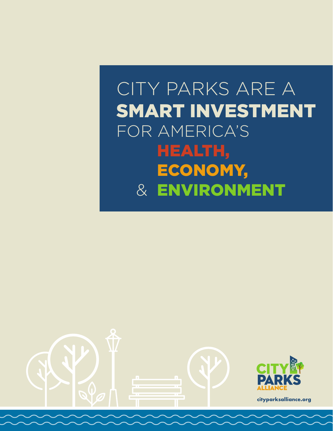# CITY PARKS ARE A SMART INVESTMENT FOR AMERICA'S & HEALTH, ECONOMY, & ENVIRONMENT

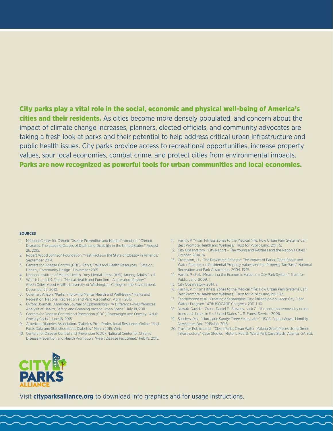City parks play a vital role in the social, economic and physical well-being of America's **cities and their residents.** As cities become more densely populated, and concern about the impact of climate change increases, planners, elected officials, and community advocates are taking a fresh look at parks and their potential to help address critical urban infrastructure and public health issues. City parks provide access to recreational opportunities, increase property values, spur local economies, combat crime, and protect cities from environmental impacts. Parks are now recognized as powerful tools for urban communities and local economies.

#### **SOURCES**

- 1. National Center for Chronic Disease Prevention and Health Promotion. "Chronic Diseases: The Leading Causes of Death and Disability in the United States." August 26, 2015.
- 2. Robert Wood Johnson Foundation. "Fast Facts on the State of Obesity in America." September 2014.
- 3. Centers for Disease Control (CDC). Parks, Trails and Health Resources. "Data on Healthy Community Design." November 2015.
- 4. National Institute of Mental Health. "Any Mental Illness (AMI) Among Adults." n.d. 5. Wolf, K.L., and K. Flora. "Mental Health and Function - A Literature Review."
- Green Cities: Good Health. University of Washington, College of the Environment. December 26, 2010.
- 6. Coleman, Allison. "Parks: Improving Mental Health and Well-Being." Parks and Recreation. National Recreation and Park Association. April 1, 2015.
- 7. Oxford Journals, American Journal of Epidemiology. "A Difference-in-Differences Analysis of Health, Safety, and Greening Vacant Urban Space." July 18, 2011.
- 8. Centers for Disease Control and Prevention (CDC.) Overweight and Obesity. "Adult Obesity Facts." June 16, 2015.
- 9. American Diabetes Association. Diabetes Pro Professional Resources Online. "Fast Facts Data and Statistics about Diabetes." March 2015. Web.
- 10. Centers for Disease Control and Prevention (CDC). National Center for Chronic Disease Prevention and Health Promotion, "Heart Disease Fact Sheet." Feb 19, 2015.
- 11. Harnik, P. "From Fitness Zones to the Medical Mile: How Urban Park Systems Can Best Promote Health and Wellness." Trust for Public Land. 2011. 5.
- 12. City Observatory. "City Report The Young and Restless and the Nation's Cities." October, 2014. 14.
- 13. Crompton, J.L. "The Proximate Principle: The Impact of Parks, Open Space and Water Features on Residential Property Values and the Property Tax Base." National Recreation and Park Association. 2004. 13-15.
- 14. Harnik, P. et al. "Measuring the Economic Value of a City Park System." Trust for Public Land. 2009. 1.
- 15. City Observatory. 2014. 2.
- 16. Harnik, P. "From Fitness Zones to the Medical Mile: How Urban Park Systems Can Best Promote Health and Wellness." Trust for Public Land, 2011. 32.
- 17. Featherstone et al. "Creating a Sustainable City: Philadelphia's Green City Clean Waters Program." 47th ISOCARP Congress. 2011. 1. 10.
- 18. Nowak, David J., Crane, Daniel E., Stevens, Jack C. "Air pollution removal by urban trees and shrubs in the United States." U.S. Forest Service. 2006.
- 19. Sanders, Rex. "Hurricane Sandy: Three Years Later." USGS. Sound Waves Monthly Newsletter. Dec. 2015/Jan. 2016.
- 20. Trust for Public Land. "Clean Parks, Clean Water: Making Great Places Using Green Infrastructure," Case Studies. Historic Fourth Ward Park Case Study. Atlanta, GA. n.d.



Visit **cityparksalliance.org** to download info graphics and for usage instructions.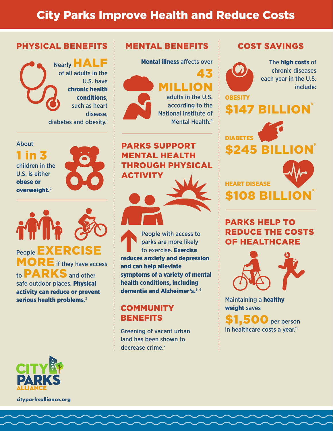## City Parks Improve Health and Reduce Costs

#### PHYSICAL BENEFITS

Nearly HALF of all adults in the U.S. have chronic health conditions, such as heart disease, diabetes and obesity.<sup>1</sup>

#### About

1 in 3 children in the U.S. is either obese or overweight. 2

People **EXERCISE** MORE if they have access to **PARKS** and other safe outdoor places. Physical activity can reduce or prevent serious health problems.<sup>3</sup>



**cityparksalliance.org**

#### MENTAL BENEFITS

Mental illness affects over 43 MILLION

adults in the U.S. according to the National Institute of Mental Health.4

PARKS SUPPORT MENTAL HEALTH THROUGH PHYSICAL ACTIVITY



People with access to parks are more likely to exercise. Exercise reduces anxiety and depression and can help alleviate symptoms of a variety of mental health conditions, including dementia and Alzheimer's.<sup>5, 6</sup>

#### **COMMUNITY BENEFITS**

Greening of vacant urban land has been shown to decrease crime.<sup>7</sup>

#### COST SAVINGS

\$147 BILLION<sup>®</sup>



The high costs of chronic diseases each year in the U.S. include:





PARKS HELP TO REDUCE THE COSTS OF HEALTHCARE



Maintaining a healthy weight saves

**500** per person in healthcare costs a year.<sup>11</sup>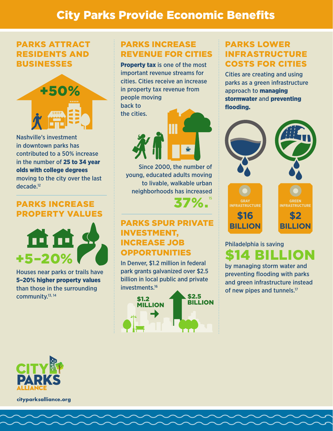## City Parks Provide Economic Benefits

#### PARKS ATTRACT RESIDENTS AND BUSINESSES



Nashville's investment in downtown parks has contributed to a 50% increase in the number of 25 to 34 year olds with college degrees moving to the city over the last decade.12

#### PARKS INCREASE PROPERTY VALUES



Houses near parks or trails have 5–20% higher property values than those in the surrounding community.13, 14

#### PARKS INCREASE REVENUE FOR CITIES

Property tax is one of the most important revenue streams for cities. Cities receive an increase in property tax revenue from people moving back to the cities.



Since 2000, the number of young, educated adults moving to livable, walkable urban neighborhoods has increased 37%.

### PARKS SPUR PRIVATE INVESTMENT, INCREASE JOB OPPORTUNITIES

In Denver, \$1.2 million in federal park grants galvanized over \$2.5 billion in local public and private investments.16



#### PARKS LOWER INFRASTRUCTURE COSTS FOR CITIES

Cities are creating and using parks as a green infrastructure approach to managing stormwater and preventing flooding.



## Philadelphia is saving \$14 BILLION

by managing storm water and preventing flooding with parks and green infrastructure instead of new pipes and tunnels.<sup>17</sup>



**cityparksalliance.org**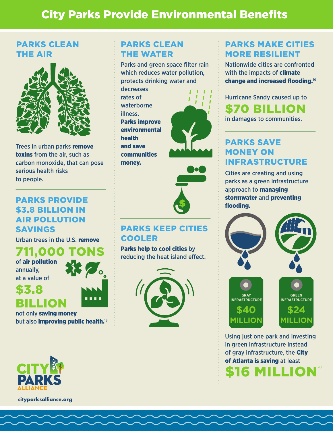# City Parks Provide Environmental Benefits

#### PARKS CLEAN THE AIR



Trees in urban parks remove toxins from the air, such as carbon monoxide, that can pose serious health risks to people.

#### PARKS PROVIDE \$3.8 BILLION IN AIR POLLUTION SAVINGS

Urban trees in the U.S. remove

711,000 of air pollution annually, at a value of

BILLION

\$3.8



not only saving money but also **improving public health.**<sup>18</sup>

#### PARKS CLEAN THE WATER

Parks and green space filter rain which reduces water pollution, protects drinking water and

decreases rates of waterborne illness. Parks improve environmental health and save communities money.





#### PARKS KEEP CITIES COOLER

Parks help to cool cities by reducing the heat island effect.



#### PARKS MAKE CITIES MORE RESILIENT

Nationwide cities are confronted with the impacts of **climate** change and increased flooding.<sup>19</sup>

Hurricane Sandy caused up to \$70 BILLION in damages to communities.

PARKS SAVE MONEY ON INFRASTRUCTURE

Cities are creating and using parks as a green infrastructure approach to managing stormwater and preventing flooding.



Using just one park and investing in green infrastructure instead of gray infrastructure, the City of Atlanta is saving at least \$16 MILLION<sup>20</sup>



**cityparksalliance.org**